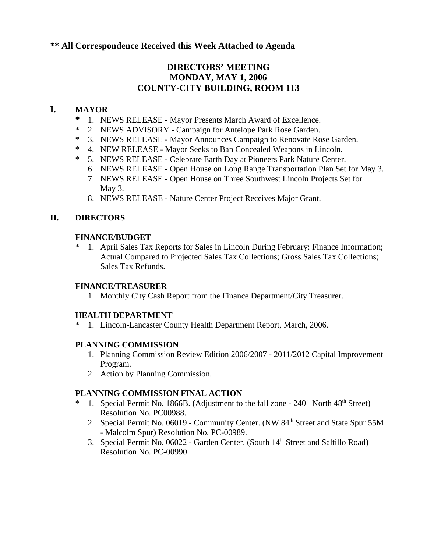# **\*\* All Correspondence Received this Week Attached to Agenda**

# **DIRECTORS' MEETING MONDAY, MAY 1, 2006 COUNTY-CITY BUILDING, ROOM 113**

## **I. MAYOR**

- **\*** 1. NEWS RELEASE Mayor Presents March Award of Excellence.
- \* 2. NEWS ADVISORY Campaign for Antelope Park Rose Garden.
- \* 3. NEWS RELEASE Mayor Announces Campaign to Renovate Rose Garden.
- \* 4. NEW RELEASE Mayor Seeks to Ban Concealed Weapons in Lincoln.
- \* 5. NEWS RELEASECelebrate Earth Day at Pioneers Park Nature Center.
	- 6. NEWS RELEASE Open House on Long Range Transportation Plan Set for May 3.
	- 7. NEWS RELEASE Open House on Three Southwest Lincoln Projects Set for May 3.
	- 8. NEWS RELEASE Nature Center Project Receives Major Grant.

## **II. DIRECTORS**

## **FINANCE/BUDGET**

1. April Sales Tax Reports for Sales in Lincoln During February: Finance Information; Actual Compared to Projected Sales Tax Collections; Gross Sales Tax Collections; Sales Tax Refunds.

## **FINANCE/TREASURER**

1. Monthly City Cash Report from the Finance Department/City Treasurer.

## **HEALTH DEPARTMENT**

\* 1. Lincoln-Lancaster County Health Department Report, March, 2006.

## **PLANNING COMMISSION**

- 1. Planning Commission Review Edition 2006/2007 2011/2012 Capital Improvement Program.
- 2. Action by Planning Commission.

## **PLANNING COMMISSION FINAL ACTION**

- 1. Special Permit No. 1866B. (Adjustment to the fall zone 2401 North  $48<sup>th</sup>$  Street) Resolution No. PC00988.
	- 2. Special Permit No. 06019 Community Center. (NW 84<sup>th</sup> Street and State Spur 55M - Malcolm Spur) Resolution No. PC-00989.
	- 3. Special Permit No. 06022 Garden Center. (South 14th Street and Saltillo Road) Resolution No. PC-00990.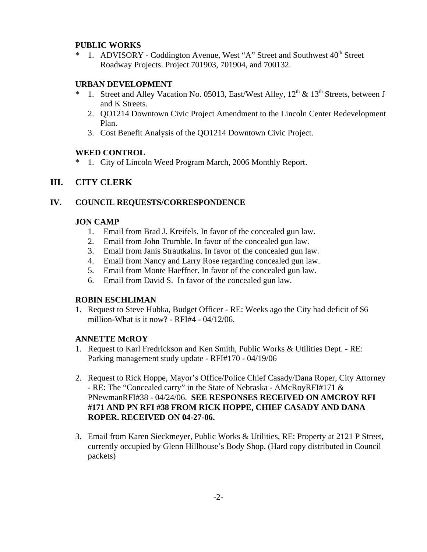#### **PUBLIC WORKS**

\* 1. ADVISORY - Coddington Avenue, West "A" Street and Southwest  $40^{\text{th}}$  Street Roadway Projects. Project 701903, 701904, and 700132.

### **URBAN DEVELOPMENT**

- \* 1. Street and Alley Vacation No. 05013, East/West Alley,  $12<sup>th</sup> \& 13<sup>th</sup>$  Streets, between J and K Streets.
	- 2. QO1214 Downtown Civic Project Amendment to the Lincoln Center Redevelopment Plan.
	- 3. Cost Benefit Analysis of the QO1214 Downtown Civic Project.

#### **WEED CONTROL**

1. City of Lincoln Weed Program March, 2006 Monthly Report.

## **III. CITY CLERK**

### **IV. COUNCIL REQUESTS/CORRESPONDENCE**

#### **JON CAMP**

- 1. Email from Brad J. Kreifels. In favor of the concealed gun law.
- 2. Email from John Trumble. In favor of the concealed gun law.
- 3. Email from Janis Strautkalns. In favor of the concealed gun law.
- 4. Email from Nancy and Larry Rose regarding concealed gun law.
- 5. Email from Monte Haeffner. In favor of the concealed gun law.
- 6. Email from David S. In favor of the concealed gun law.

### **ROBIN ESCHLIMAN**

1. Request to Steve Hubka, Budget Officer - RE: Weeks ago the City had deficit of \$6 million-What is it now? - RFI#4 - 04/12/06.

### **ANNETTE McROY**

- 1. Request to Karl Fredrickson and Ken Smith, Public Works & Utilities Dept. RE: Parking management study update - RFI#170 - 04/19/06
- 2. Request to Rick Hoppe, Mayor's Office/Police Chief Casady/Dana Roper, City Attorney - RE: The "Concealed carry" in the State of Nebraska - AMcRoyRFI#171 & PNewmanRFI#38 - 04/24/06. **SEE RESPONSES RECEIVED ON AMCROY RFI #171 AND PN RFI #38 FROM RICK HOPPE, CHIEF CASADY AND DANA ROPER. RECEIVED ON 04-27-06.**
- 3. Email from Karen Sieckmeyer, Public Works & Utilities, RE: Property at 2121 P Street, currently occupied by Glenn Hillhouse's Body Shop. (Hard copy distributed in Council packets)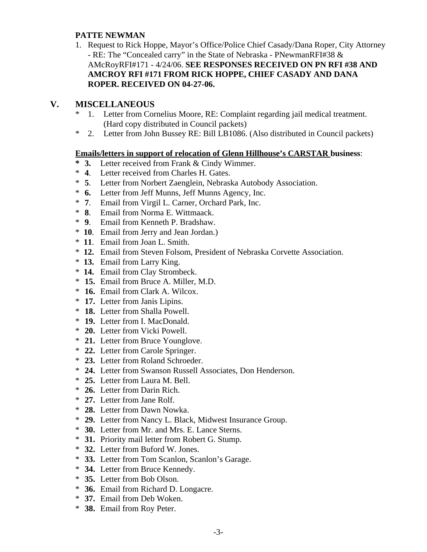### **PATTE NEWMAN**

1. Request to Rick Hoppe, Mayor's Office/Police Chief Casady/Dana Roper, City Attorney - RE: The "Concealed carry" in the State of Nebraska - PNewmanRFI#38 & AMcRoyRFI#171 - 4/24/06. **SEE RESPONSES RECEIVED ON PN RFI #38 AND AMCROY RFI #171 FROM RICK HOPPE, CHIEF CASADY AND DANA ROPER. RECEIVED ON 04-27-06.** 

# **V. MISCELLANEOUS**

- \* 1. Letter from Cornelius Moore, RE: Complaint regarding jail medical treatment. (Hard copy distributed in Council packets)
- \* 2. Letter from John Bussey RE: Bill LB1086. (Also distributed in Council packets)

### **Emails/letters in support of relocation of Glenn Hillhouse's CARSTAR business**:

- **3.** Letter received from Frank & Cindy Wimmer.
- \* **4**. Letter received from Charles H. Gates.
- \* **5**. Letter from Norbert Zaenglein, Nebraska Autobody Association.
- \* **6.** Letter from Jeff Munns, Jeff Munns Agency, Inc.
- \* **7**. Email from Virgil L. Carner, Orchard Park, Inc.
- \* **8**. Email from Norma E. Wittmaack.
- \* **9**. Email from Kenneth P. Bradshaw.
- \* **10**. Email from Jerry and Jean Jordan.)
- \* **11**. Email from Joan L. Smith.
- \* **12.** Email from Steven Folsom, President of Nebraska Corvette Association.
- \* **13.** Email from Larry King.
- \* **14.** Email from Clay Strombeck.
- \* **15.** Email from Bruce A. Miller, M.D.
- \* **16.** Email from Clark A. Wilcox.
- \* **17.** Letter from Janis Lipins.
- \* **18.** Letter from Shalla Powell.
- \* **19.** Letter from I. MacDonald.
- \* **20.** Letter from Vicki Powell.
- \* **21.** Letter from Bruce Younglove.
- \* **22.** Letter from Carole Springer.
- \* **23.** Letter from Roland Schroeder.
- \* **24.** Letter from Swanson Russell Associates, Don Henderson.
- \* **25.** Letter from Laura M. Bell.
- \* **26.** Letter from Darin Rich.
- \* **27.** Letter from Jane Rolf.
- \* **28.** Letter from Dawn Nowka.
- \* **29.** Letter from Nancy L. Black, Midwest Insurance Group.
- \* **30.** Letter from Mr. and Mrs. E. Lance Sterns.
- \* **31.** Priority mail letter from Robert G. Stump.
- \* **32.** Letter from Buford W. Jones.
- \* **33.** Letter from Tom Scanlon, Scanlon's Garage.
- \* **34.** Letter from Bruce Kennedy.
- \* **35.** Letter from Bob Olson.
- \* **36.** Email from Richard D. Longacre.
- \* **37.** Email from Deb Woken.
- \* **38.** Email from Roy Peter.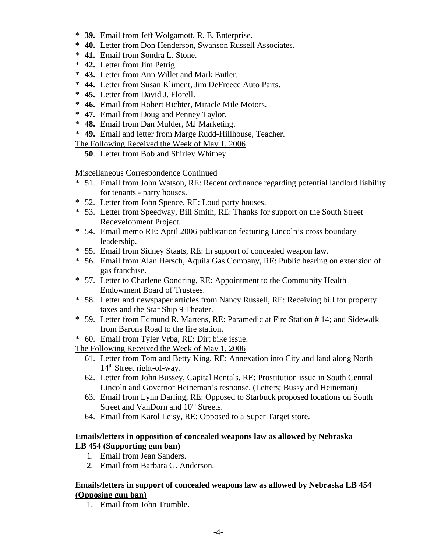- \* **39.** Email from Jeff Wolgamott, R. E. Enterprise.
- **\* 40.** Letter from Don Henderson, Swanson Russell Associates.
- \* **41.** Email from Sondra L. Stone.
- \* **42.** Letter from Jim Petrig.
- \* **43.** Letter from Ann Willet and Mark Butler.
- \* **44.** Letter from Susan Kliment, Jim DeFreece Auto Parts.
- \* **45.** Letter from David J. Florell.
- \* **46.** Email from Robert Richter, Miracle Mile Motors.
- \* **47.** Email from Doug and Penney Taylor.
- \* **48.** Email from Dan Mulder, MJ Marketing.
- \* **49.** Email and letter from Marge Rudd-Hillhouse, Teacher.
- The Following Received the Week of May 1, 2006
	- **50**. Letter from Bob and Shirley Whitney.

Miscellaneous Correspondence Continued

- \* 51. Email from John Watson, RE: Recent ordinance regarding potential landlord liability for tenants - party houses.
- \* 52. Letter from John Spence, RE: Loud party houses.
- \* 53. Letter from Speedway, Bill Smith, RE: Thanks for support on the South Street Redevelopment Project.
- \* 54. Email memo RE: April 2006 publication featuring Lincoln's cross boundary leadership.
- \* 55. Email from Sidney Staats, RE: In support of concealed weapon law.
- \* 56. Email from Alan Hersch, Aquila Gas Company, RE: Public hearing on extension of gas franchise.
- \* 57. Letter to Charlene Gondring, RE: Appointment to the Community Health Endowment Board of Trustees.
- \* 58. Letter and newspaper articles from Nancy Russell, RE: Receiving bill for property taxes and the Star Ship 9 Theater.
- \* 59. Letter from Edmund R. Martens, RE: Paramedic at Fire Station # 14; and Sidewalk from Barons Road to the fire station.
- \* 60. Email from Tyler Vrba, RE: Dirt bike issue.

The Following Received the Week of May 1, 2006

- 61. Letter from Tom and Betty King, RE: Annexation into City and land along North 14<sup>th</sup> Street right-of-way.
- 62. Letter from John Bussey, Capital Rentals, RE: Prostitution issue in South Central Lincoln and Governor Heineman's response. (Letters; Bussy and Heineman)
- 63. Email from Lynn Darling, RE: Opposed to Starbuck proposed locations on South Street and VanDorn and 10<sup>th</sup> Streets.
- 64. Email from Karol Leisy, RE: Opposed to a Super Target store.

## **Emails/letters in opposition of concealed weapons law as allowed by Nebraska LB 454 (Supporting gun ban)**

- 1. Email from Jean Sanders.
- 2. Email from Barbara G. Anderson.

## **Emails/letters in support of concealed weapons law as allowed by Nebraska LB 454 (Opposing gun ban)**

1. Email from John Trumble.